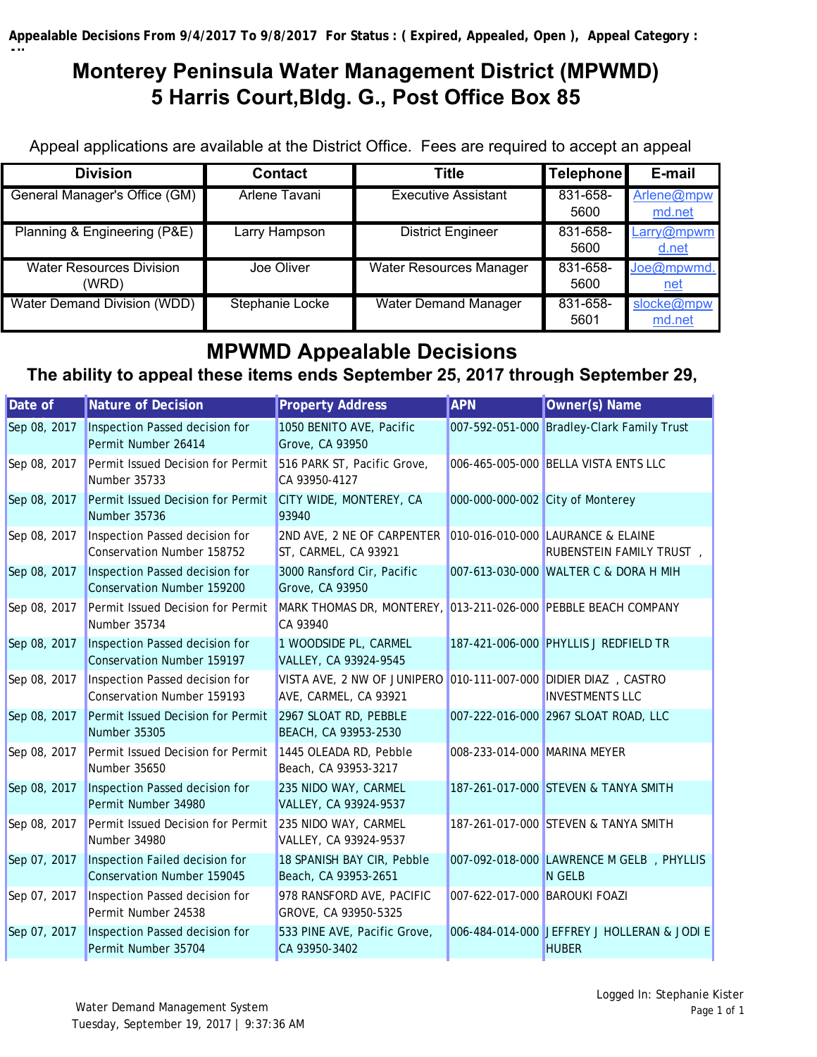**All**

## **Monterey Peninsula Water Management District (MPWMD) 5 Harris Court,Bldg. G., Post Office Box 85**

Appeal applications are available at the District Office. Fees are required to accept an appeal

| <b>Division</b>                          | <b>Contact</b>  | <b>Title</b>                   | <b>Telephone</b> | E-mail                   |
|------------------------------------------|-----------------|--------------------------------|------------------|--------------------------|
| General Manager's Office (GM)            | Arlene Tavani   | Executive Assistant            | 831-658-<br>5600 | Arlene@mpw<br>md.net     |
| Planning & Engineering (P&E)             | Larry Hampson   | <b>District Engineer</b>       | 831-658-         | Larry@mpwm               |
|                                          |                 |                                | 5600             | d.net                    |
| <b>Water Resources Division</b><br>(WRD) | Joe Oliver      | <b>Water Resources Manager</b> | 831-658-<br>5600 | Joe@mpwmd.<br><u>net</u> |
| <b>Water Demand Division (WDD)</b>       | Stephanie Locke | <b>Water Demand Manager</b>    | 831-658-<br>5601 | slocke@mpw<br>md.net     |

## **MPWMD Appealable Decisions**

## **The ability to appeal these items ends September 25, 2017 through September 29,**

| Date of      | <b>Nature of Decision</b>                                    | <b>Property Address</b>                                                    | <b>APN</b>                    | Owner(s) Name                                                 |
|--------------|--------------------------------------------------------------|----------------------------------------------------------------------------|-------------------------------|---------------------------------------------------------------|
| Sep 08, 2017 | Inspection Passed decision for<br>Permit Number 26414        | 1050 BENITO AVE, Pacific<br>Grove, CA 93950                                |                               | 007-592-051-000 Bradley-Clark Family Trust                    |
| Sep 08, 2017 | Permit Issued Decision for Permit<br>Number 35733            | 516 PARK ST, Pacific Grove,<br>CA 93950-4127                               |                               | 006-465-005-000 BELLA VISTA ENTS LLC                          |
| Sep 08, 2017 | Permit Issued Decision for Permit<br>Number 35736            | CITY WIDE, MONTEREY, CA<br>93940                                           |                               | 000-000-000-002 City of Monterey                              |
| Sep 08, 2017 | Inspection Passed decision for<br>Conservation Number 158752 | 2ND AVE, 2 NE OF CARPENTER<br>ST, CARMEL, CA 93921                         |                               | 010-016-010-000 LAURANCE & ELAINE<br>RUBENSTEIN FAMILY TRUST, |
| Sep 08, 2017 | Inspection Passed decision for<br>Conservation Number 159200 | 3000 Ransford Cir, Pacific<br>Grove, CA 93950                              |                               | 007-613-030-000 WALTER C & DORA H MIH                         |
| Sep 08, 2017 | Permit Issued Decision for Permit<br>Number 35734            | MARK THOMAS DR, MONTEREY, 013-211-026-000 PEBBLE BEACH COMPANY<br>CA 93940 |                               |                                                               |
| Sep 08, 2017 | Inspection Passed decision for<br>Conservation Number 159197 | 1 WOODSIDE PL, CARMEL<br>VALLEY, CA 93924-9545                             |                               | 187-421-006-000 PHYLLIS J REDFIELD TR                         |
| Sep 08, 2017 | Inspection Passed decision for<br>Conservation Number 159193 | VISTA AVE, 2 NW OF JUNIPERO<br>AVE, CARMEL, CA 93921                       |                               | 010-111-007-000 DIDIER DIAZ, CASTRO<br><b>INVESTMENTS LLC</b> |
| Sep 08, 2017 | Permit Issued Decision for Permit<br>Number 35305            | 2967 SLOAT RD, PEBBLE<br>BEACH, CA 93953-2530                              |                               | 007-222-016-000 2967 SLOAT ROAD, LLC                          |
| Sep 08, 2017 | Permit Issued Decision for Permit<br>Number 35650            | 1445 OLEADA RD, Pebble<br>Beach, CA 93953-3217                             | 008-233-014-000 MARINA MEYER  |                                                               |
| Sep 08, 2017 | Inspection Passed decision for<br>Permit Number 34980        | 235 NIDO WAY, CARMEL<br>VALLEY, CA 93924-9537                              |                               | 187-261-017-000 STEVEN & TANYA SMITH                          |
| Sep 08, 2017 | Permit Issued Decision for Permit<br>Number 34980            | 235 NIDO WAY, CARMEL<br>VALLEY, CA 93924-9537                              |                               | 187-261-017-000 STEVEN & TANYA SMITH                          |
| Sep 07, 2017 | Inspection Failed decision for<br>Conservation Number 159045 | 18 SPANISH BAY CIR, Pebble<br>Beach, CA 93953-2651                         |                               | 007-092-018-000 LAWRENCE M GELB, PHYLLIS<br>N GELB            |
| Sep 07, 2017 | Inspection Passed decision for<br>Permit Number 24538        | 978 RANSFORD AVE, PACIFIC<br>GROVE, CA 93950-5325                          | 007-622-017-000 BAROUKI FOAZI |                                                               |
| Sep 07, 2017 | Inspection Passed decision for<br>Permit Number 35704        | 533 PINE AVE, Pacific Grove,<br>CA 93950-3402                              |                               | 006-484-014-000 JEFFREY J HOLLERAN & JODI E<br><b>HUBER</b>   |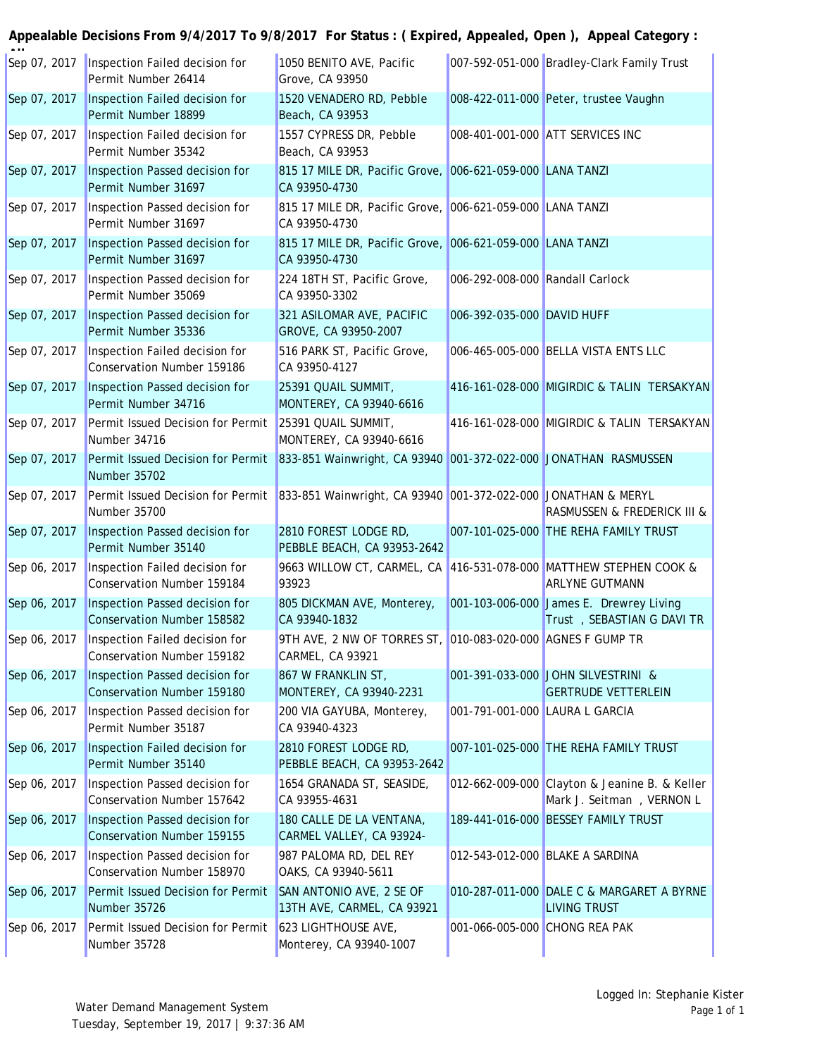## **Appealable Decisions From 9/4/2017 To 9/8/2017 For Status : ( Expired, Appealed, Open ), Appeal Category :**

| Sep 07, 2017 | Inspection Failed decision for<br>Permit Number 26414                                                           | 1050 BENITO AVE, Pacific<br>Grove, CA 93950                                     |                                 | 007-592-051-000 Bradley-Clark Family Trust                                 |
|--------------|-----------------------------------------------------------------------------------------------------------------|---------------------------------------------------------------------------------|---------------------------------|----------------------------------------------------------------------------|
| Sep 07, 2017 | Inspection Failed decision for<br>Permit Number 18899                                                           | 1520 VENADERO RD, Pebble<br>Beach, CA 93953                                     |                                 | 008-422-011-000 Peter, trustee Vaughn                                      |
| Sep 07, 2017 | Inspection Failed decision for<br>Permit Number 35342                                                           | 1557 CYPRESS DR, Pebble<br>Beach, CA 93953                                      |                                 | 008-401-001-000 ATT SERVICES INC                                           |
| Sep 07, 2017 | Inspection Passed decision for<br>Permit Number 31697                                                           | 815 17 MILE DR, Pacific Grove, 006-621-059-000 LANA TANZI<br>CA 93950-4730      |                                 |                                                                            |
| Sep 07, 2017 | Inspection Passed decision for<br>Permit Number 31697                                                           | 815 17 MILE DR, Pacific Grove, 006-621-059-000 LANA TANZI<br>CA 93950-4730      |                                 |                                                                            |
| Sep 07, 2017 | Inspection Passed decision for<br>Permit Number 31697                                                           | 815 17 MILE DR, Pacific Grove, 006-621-059-000 LANA TANZI<br>CA 93950-4730      |                                 |                                                                            |
| Sep 07, 2017 | Inspection Passed decision for<br>Permit Number 35069                                                           | 224 18TH ST, Pacific Grove,<br>CA 93950-3302                                    | 006-292-008-000 Randall Carlock |                                                                            |
| Sep 07, 2017 | Inspection Passed decision for<br>Permit Number 35336                                                           | 321 ASILOMAR AVE, PACIFIC<br>GROVE, CA 93950-2007                               | 006-392-035-000 DAVID HUFF      |                                                                            |
| Sep 07, 2017 | Inspection Failed decision for<br>Conservation Number 159186                                                    | 516 PARK ST, Pacific Grove,<br>CA 93950-4127                                    |                                 | 006-465-005-000 BELLA VISTA ENTS LLC                                       |
| Sep 07, 2017 | Inspection Passed decision for<br>Permit Number 34716                                                           | 25391 QUAIL SUMMIT,<br>MONTEREY, CA 93940-6616                                  |                                 | 416-161-028-000 MIGIRDIC & TALIN TERSAKYAN                                 |
| Sep 07, 2017 | Permit Issued Decision for Permit<br>Number 34716                                                               | 25391 QUAIL SUMMIT,<br>MONTEREY, CA 93940-6616                                  |                                 | 416-161-028-000 MIGIRDIC & TALIN TERSAKYAN                                 |
| Sep 07, 2017 | Permit Issued Decision for Permit<br>Number 35702                                                               | 833-851 Wainwright, CA 93940 001-372-022-000 JONATHAN RASMUSSEN                 |                                 |                                                                            |
| Sep 07, 2017 | Permit Issued Decision for Permit 833-851 Wainwright, CA 93940 001-372-022-000 JONATHAN & MERYL<br>Number 35700 |                                                                                 |                                 | RASMUSSEN & FREDERICK III &                                                |
| Sep 07, 2017 | Inspection Passed decision for<br>Permit Number 35140                                                           | 2810 FOREST LODGE RD,<br>PEBBLE BEACH, CA 93953-2642                            |                                 | 007-101-025-000 THE REHA FAMILY TRUST                                      |
| Sep 06, 2017 | Inspection Failed decision for<br>Conservation Number 159184                                                    | 9663 WILLOW CT, CARMEL, CA 416-531-078-000 MATTHEW STEPHEN COOK &<br>93923      |                                 | <b>ARLYNE GUTMANN</b>                                                      |
| Sep 06, 2017 | Inspection Passed decision for<br>Conservation Number 158582                                                    | 805 DICKMAN AVE, Monterey,<br>CA 93940-1832                                     |                                 | 001-103-006-000 James E. Drewrey Living<br>Trust, SEBASTIAN G DAVI TR      |
| Sep 06, 2017 | Inspection Failed decision for<br>Conservation Number 159182                                                    | 9TH AVE, 2 NW OF TORRES ST, 010-083-020-000 AGNES F GUMP TR<br>CARMEL, CA 93921 |                                 |                                                                            |
| Sep 06, 2017 | Inspection Passed decision for<br>Conservation Number 159180                                                    | 867 W FRANKLIN ST,<br>MONTEREY, CA 93940-2231                                   |                                 | 001-391-033-000 JOHN SILVESTRINI &<br><b>GERTRUDE VETTERLEIN</b>           |
| Sep 06, 2017 | Inspection Passed decision for<br>Permit Number 35187                                                           | 200 VIA GAYUBA, Monterey,<br>CA 93940-4323                                      | 001-791-001-000 LAURA L GARCIA  |                                                                            |
| Sep 06, 2017 | Inspection Failed decision for<br>Permit Number 35140                                                           | 2810 FOREST LODGE RD,<br>PEBBLE BEACH, CA 93953-2642                            |                                 | 007-101-025-000 THE REHA FAMILY TRUST                                      |
| Sep 06, 2017 | Inspection Passed decision for<br>Conservation Number 157642                                                    | 1654 GRANADA ST, SEASIDE,<br>CA 93955-4631                                      |                                 | 012-662-009-000 Clayton & Jeanine B. & Keller<br>Mark J. Seitman, VERNON L |
| Sep 06, 2017 | Inspection Passed decision for<br>Conservation Number 159155                                                    | 180 CALLE DE LA VENTANA,<br>CARMEL VALLEY, CA 93924-                            |                                 | 189-441-016-000 BESSEY FAMILY TRUST                                        |
| Sep 06, 2017 | Inspection Passed decision for<br>Conservation Number 158970                                                    | 987 PALOMA RD, DEL REY<br>OAKS, CA 93940-5611                                   |                                 | 012-543-012-000 BLAKE A SARDINA                                            |
| Sep 06, 2017 | Permit Issued Decision for Permit<br>Number 35726                                                               | SAN ANTONIO AVE, 2 SE OF<br>13TH AVE, CARMEL, CA 93921                          |                                 | 010-287-011-000 DALE C & MARGARET A BYRNE<br><b>LIVING TRUST</b>           |
| Sep 06, 2017 | Permit Issued Decision for Permit<br>Number 35728                                                               | 623 LIGHTHOUSE AVE,<br>Monterey, CA 93940-1007                                  | 001-066-005-000 CHONG REA PAK   |                                                                            |